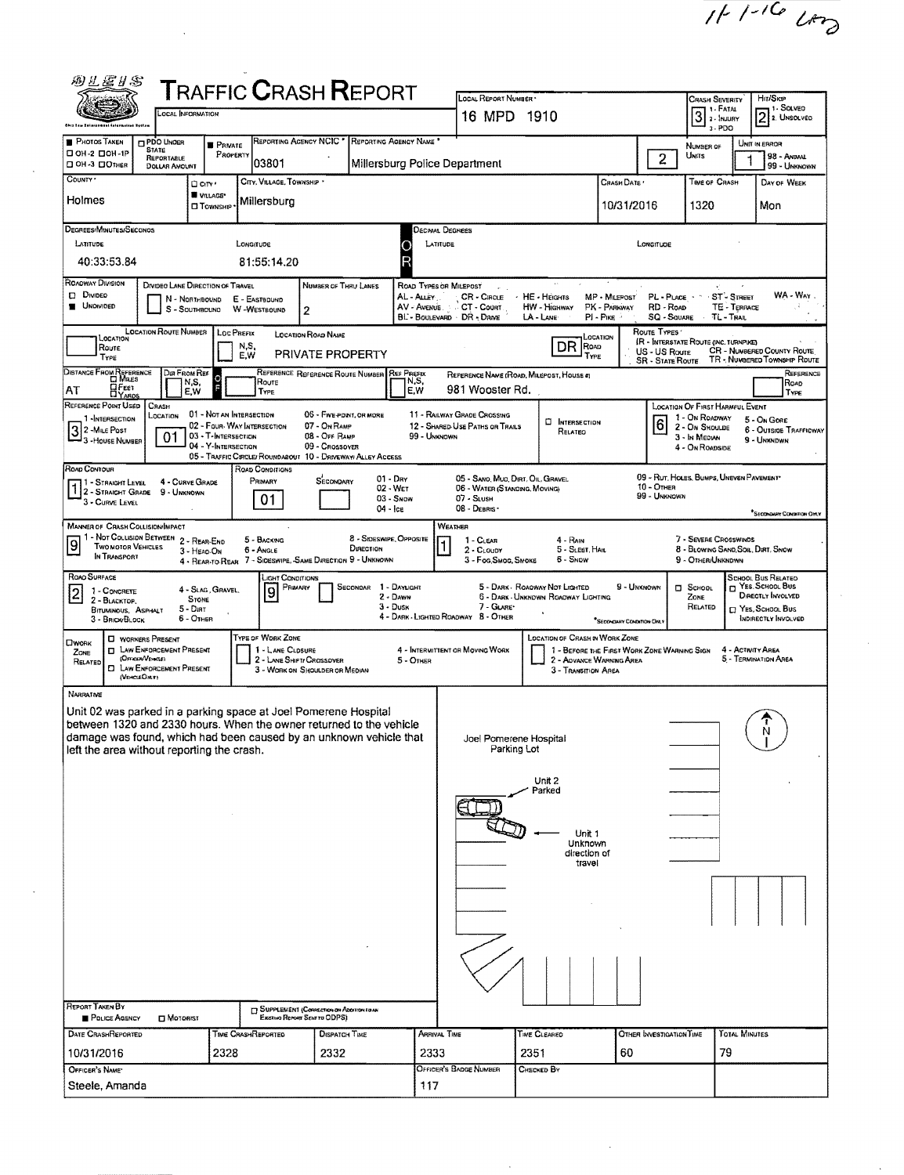$11110$   $20$ 

 $\hat{\mathcal{A}}$ 

 $\hat{\mathbf{r}}$ 

| 网扎居り名                                                                                                                                                                            |                                                    |                                       | <b>TRAFFIC CRASH REPORT</b>                                                  |                                      |                                       |                                                 |                                             |                                 |                                                                                                |                            |                                               |  |  |
|----------------------------------------------------------------------------------------------------------------------------------------------------------------------------------|----------------------------------------------------|---------------------------------------|------------------------------------------------------------------------------|--------------------------------------|---------------------------------------|-------------------------------------------------|---------------------------------------------|---------------------------------|------------------------------------------------------------------------------------------------|----------------------------|-----------------------------------------------|--|--|
| OCAL INFORMATION                                                                                                                                                                 |                                                    |                                       |                                                                              |                                      | LOCAL REPORT NUMBER                   |                                                 |                                             |                                 | <b>CRASH SEVERITY</b><br>$\boxed{3} \stackrel{\text{t. FATA}}{\underset{\text{t. max}}{\sum}}$ |                            | Hit/Skip<br>⊣1 SOLVEO                         |  |  |
| Gem tau tai sianan                                                                                                                                                               |                                                    |                                       |                                                                              |                                      | 16 MPD 1910                           |                                                 |                                             |                                 | $3 - PDO$                                                                                      |                            | 2 2. UNSOLVED                                 |  |  |
| PHOTOS TAKEN<br>PDO UNDER<br><b>STATE</b><br>□ ОН-2 □ ОН-1Р                                                                                                                      | <b>B</b> PRIVATE<br>PROPERTY                       | REPORTING AGENCY NCIC <sup>*</sup>    | REPORTING AGENCY NAME                                                        |                                      |                                       |                                                 |                                             |                                 | NUMBER OF<br>UNITS                                                                             |                            | UNIT IN ERROR<br>98 - ANIMAL                  |  |  |
| REPORTABLE<br>OH -3 DOTHER<br><b>DOLLAR AMOUNT</b>                                                                                                                               |                                                    | 03801                                 |                                                                              | Millersburg Police Department        |                                       |                                                 |                                             | $\overline{2}$                  |                                                                                                |                            | 99 - UNKNOWN                                  |  |  |
| County *                                                                                                                                                                         | □ cm·<br>VILLAGE*                                  | CITY, VILLAGE, TOWNSHIP *             |                                                                              |                                      |                                       |                                                 | Crash Date '                                |                                 | TIME OF CRASH                                                                                  |                            | Day of Week                                   |  |  |
| Holmes<br>Millersburg<br>10/31/2016<br>1320<br>Mon<br><b>CI TOWNSHIP</b>                                                                                                         |                                                    |                                       |                                                                              |                                      |                                       |                                                 |                                             |                                 |                                                                                                |                            |                                               |  |  |
| DEGREES/MINUTES/SECONOS                                                                                                                                                          |                                                    |                                       |                                                                              | Oscimal Degrees                      |                                       |                                                 |                                             |                                 |                                                                                                |                            |                                               |  |  |
| LATITUDE                                                                                                                                                                         | LONGITUDE                                          |                                       |                                                                              | LATITUDE<br>o                        |                                       |                                                 |                                             | LONGITUDE                       |                                                                                                |                            |                                               |  |  |
| 40:33:53.84                                                                                                                                                                      |                                                    | 81:55:14.20                           |                                                                              | R                                    |                                       |                                                 |                                             |                                 |                                                                                                |                            |                                               |  |  |
| ROADWAY DIVISION<br>DIVIDEO LANE DIRECTION OF TRAVEL<br>D Divideo<br>N - Northbound                                                                                              |                                                    | E - EASTBOUND                         | NUMBER OF THRU LANES                                                         | ROAD TYPES OR MILEPOST<br>AL - Auev  | $CR \cdot C$ RCLE                     | · HE - HEIGHTS                                  | MP - MILEPOST                               | PL-PLACE -                      |                                                                                                | ST-STREET                  | WA - Way                                      |  |  |
| UNDIVIDED                                                                                                                                                                        | S - SOUTHBOUND W -WESTBOUND                        | $\overline{2}$                        |                                                                              | AV - Avenue<br>BL BOULEVARD DR DAIVE | CT - Count                            | <b>HW - Highway</b><br>LA - LANE                | PK - PARKWAY<br>$PI - P$ ike                | RD - ROAD<br><b>SQ - SQUARE</b> | $\lambda$                                                                                      | TE - TERRACE<br>TL - TRAIL |                                               |  |  |
| <b>LOCATION ROUTE NUMBER</b><br>ROUTE TYPES<br><b>LOC PREFIX</b><br>LOCATION ROAD NAME<br><b>OCATION</b><br>LOCATION<br><b>IR - INTERSTATE ROUTE (INC. TURNPIKE)</b>             |                                                    |                                       |                                                                              |                                      |                                       |                                                 |                                             |                                 |                                                                                                |                            |                                               |  |  |
| DR<br>N.S.<br>Road<br>Route<br>CR - NUMBERED COUNTY ROUTE<br>US - US Route<br>PRIVATE PROPERTY<br>E.W<br>Type<br>TYPE<br>TR - NUMBERED TOWNSHIP ROUTE<br><b>SR - State Route</b> |                                                    |                                       |                                                                              |                                      |                                       |                                                 |                                             |                                 |                                                                                                |                            |                                               |  |  |
| DISTANCE FROM REFERENCE<br>Dur From Ref<br>REFERENCE REFERENCE ROUTE NUMBER REF PREFIX<br>REFERENCE<br>REFERENCE NAME (ROAD, MILEPOST, HOUSE #)                                  |                                                    |                                       |                                                                              |                                      |                                       |                                                 |                                             |                                 |                                                                                                |                            |                                               |  |  |
| ROUTE<br>N, S,<br>N,S,<br>Roap<br><b>HEET</b><br>981 Wooster Rd.<br>E.W<br>AT<br>E,W<br>TYPE<br>TYPE                                                                             |                                                    |                                       |                                                                              |                                      |                                       |                                                 |                                             |                                 |                                                                                                |                            |                                               |  |  |
| REFERENCE POINT USED<br><b>CRASH</b><br>LOCATION<br>1 -INTERSECTION                                                                                                              | 01 - NOT AN INTERSECTION                           |                                       | 06 - FIVE POINT, OR MORE                                                     |                                      | 11 - RAILWAY GRADE CROSSING           | <b>D</b> INTERSECTION                           |                                             | $ \overline{6} $                | LOCATION OF FIRST HARMFUL EVENT<br>1 - On ROADWAY                                              |                            | 5 - On Gore                                   |  |  |
| 3 2 - Mile Post<br>01<br><sup>1</sup> 3 - House Number                                                                                                                           | 02 - FOUR- WAY INTERSECTION<br>03 - T-INTERSECTION |                                       | 07 - ON RAMP<br>08 - Off RAMP                                                | 99 - Unknown                         | 12 - SHARED USE PATHS OR TRAILS       | RELATEO                                         |                                             |                                 | 2 - On Shoulde<br>3 - In Median                                                                |                            | <b>6 - OUTSIDE TRAFFICWAY</b><br>9 - UNKNDWN  |  |  |
|                                                                                                                                                                                  | 04 - Y-INTERSECTION                                |                                       | 09 - Crossover<br>05 - TRAFFIC CIRCLE/ROUNDABOUT 10 - DRIVEWAY/ ALLEY ACCESS |                                      |                                       |                                                 |                                             |                                 | 4 - On ROADSIDE                                                                                |                            |                                               |  |  |
| ROAD CONTOUR<br>4 - CURVE GRADE<br>11 - Straight Level                                                                                                                           |                                                    | ROAD CONDITIONS<br>Primary            | $01 - \text{Dry}$<br>SECONDARY                                               |                                      | 05 - SANO, MUO, DIRT, OIL, GRAVEL     |                                                 |                                             |                                 | 09 - RUT, HOLES, BUMPS, UNEVEN PAVEMENT*                                                       |                            |                                               |  |  |
| 10 - OTHER<br>02 - WET<br>06 - WATER (STANDING, MOVING)<br>1 2 - STRAIGHT GRADE 9 - UNKNOWN<br>99 - Unknown<br>$03 -$ SNOW<br>07 - SLUSH<br>01<br>3 - CURVE LEVEL                |                                                    |                                       |                                                                              |                                      |                                       |                                                 |                                             |                                 |                                                                                                |                            |                                               |  |  |
| <b>MANNER OF CRASH COLLISION/IMPACT</b>                                                                                                                                          |                                                    |                                       | 04 - Ice                                                                     | WEATHER                              | 08 - DEBRIS ·                         |                                                 |                                             |                                 |                                                                                                |                            | <sup>*</sup> Secondum Contention OM Y         |  |  |
| 1 - Not Collision Between 2 - Rear-End<br><u>[9</u><br><b>TWO MOTOR VEHICLES</b>                                                                                                 |                                                    | 5 - BACKING                           | 8 - SIDESWIPE, OPPOSITE                                                      |                                      | 1 - CLEAR                             | 4 - Rain                                        |                                             |                                 | 7 - SEVERE CROSSWINDS                                                                          |                            |                                               |  |  |
| 3 - HEAO-ON<br>IN TRANSPORT                                                                                                                                                      |                                                    | 6 - Angle                             | DIRECTION<br>4 - REAR-TO-REAR 7 - SIDESWIPE, SAME DIRECTION 9 - UNKNOWN      |                                      | 2 - CLOUDY<br>3 - Fog Smog, Smoke     | 5 - Sleet, Hail<br>6 - Snow                     |                                             |                                 | 8 - Blowing Sand, Soil, Dirt, Snow<br>9 - OTHER/UNKNOWN                                        |                            |                                               |  |  |
| ROAD SURFACE                                                                                                                                                                     | 4 - SLAG, GRAVEL                                   | JGHT CONDITIONS<br>PRIMARY            | SECONDAR                                                                     | 1 - DAYLIGHT                         |                                       | 5 - DARK - ROADWAY NOT LIGHTED                  | 9 - UNKNOWN                                 |                                 | <b>D</b> SCHOOL                                                                                |                            | SCHOOL BUS RELATED<br>T YES. SCHOOL BUS       |  |  |
| 1 - CONCRETE<br> 2 <br><b>STONE</b><br>2 - BLACKTOP.<br>5 - Dirt                                                                                                                 |                                                    | 9                                     | $3 - D$ usk                                                                  | $2 - D_{ANN}$                        | 7 - GLARE*                            | 6 - DARK - UNKNOWN ROADWAY LIGHTING             |                                             |                                 | ZONE<br>RELATED                                                                                |                            | <b>DIRECTLY INVOLVED</b><br>□ Yes, School Bus |  |  |
| BITUMINOUS, ASPHALT<br>6 - OTHER<br>3 - BRICK BLOCK                                                                                                                              |                                                    |                                       |                                                                              | 4 - DARK - LIGHTED ROADWAY 8 - OTHER |                                       |                                                 | "SECONDARY CONDITION CHEY                   |                                 |                                                                                                |                            | <b>INDIRECTLY INVOLVED</b>                    |  |  |
| <b>U</b> WORKERS PRESENT<br><b>LIWORK</b><br><b>I LAW ENFORCEMENT PRESENT</b><br>ZONE                                                                                            |                                                    | TYPE OF WORK ZONE<br>1 - LANE CLOSURE |                                                                              | 4 - INTERMITTENT OR MOVING WORK      |                                       | <b>LOCATION OF CRASH IN WORK ZONE</b>           | 1 - BEFORE THE FIRST WORK ZONE WARNING SIGN |                                 |                                                                                                | 4 - ACTIVITY AREA          |                                               |  |  |
| (OFFICER/VEHICLE)<br>RELATED<br><b>EI LAW ENFORCEMENT PRESENT</b>                                                                                                                |                                                    | 2 - LANE SHIFT! CROSSOVER             | 3 - WORK ON SHOULDER OR MEDIAN                                               | 5 - OTHER                            |                                       | 2 - AGVANCE WARNING AREA<br>3 - Transition Area |                                             |                                 |                                                                                                |                            | 5 - TERMINATION AREA                          |  |  |
| (VEHCLEOMY)<br>NARRATNE                                                                                                                                                          |                                                    |                                       |                                                                              |                                      |                                       |                                                 |                                             |                                 |                                                                                                |                            |                                               |  |  |
| Unit 02 was parked in a parking space at Joel Pomerene Hospital                                                                                                                  |                                                    |                                       |                                                                              |                                      |                                       |                                                 |                                             |                                 |                                                                                                |                            |                                               |  |  |
| between 1320 and 2330 hours. When the owner returned to the vehicle                                                                                                              |                                                    |                                       |                                                                              |                                      |                                       |                                                 |                                             |                                 |                                                                                                |                            |                                               |  |  |
| damage was found, which had been caused by an unknown vehicle that<br>left the area without reporting the crash.                                                                 |                                                    |                                       |                                                                              |                                      | Joel Pomerene Hospital<br>Parking Lot |                                                 |                                             |                                 |                                                                                                |                            |                                               |  |  |
|                                                                                                                                                                                  |                                                    |                                       |                                                                              |                                      |                                       |                                                 |                                             |                                 |                                                                                                |                            |                                               |  |  |
|                                                                                                                                                                                  |                                                    |                                       |                                                                              |                                      |                                       | Unit 2<br>Parked                                |                                             |                                 |                                                                                                |                            |                                               |  |  |
|                                                                                                                                                                                  |                                                    |                                       |                                                                              |                                      |                                       |                                                 |                                             |                                 |                                                                                                |                            |                                               |  |  |
|                                                                                                                                                                                  |                                                    |                                       |                                                                              |                                      |                                       | Unit 1                                          |                                             |                                 |                                                                                                |                            |                                               |  |  |
|                                                                                                                                                                                  |                                                    |                                       |                                                                              |                                      |                                       | Unknown<br>direction of                         |                                             |                                 |                                                                                                |                            |                                               |  |  |
|                                                                                                                                                                                  |                                                    |                                       |                                                                              |                                      |                                       | travel                                          |                                             |                                 |                                                                                                |                            |                                               |  |  |
|                                                                                                                                                                                  |                                                    |                                       |                                                                              |                                      |                                       |                                                 |                                             |                                 |                                                                                                |                            |                                               |  |  |
|                                                                                                                                                                                  |                                                    |                                       |                                                                              |                                      |                                       |                                                 |                                             |                                 |                                                                                                |                            |                                               |  |  |
|                                                                                                                                                                                  |                                                    |                                       |                                                                              |                                      |                                       |                                                 |                                             |                                 |                                                                                                |                            |                                               |  |  |
|                                                                                                                                                                                  |                                                    |                                       |                                                                              |                                      |                                       |                                                 |                                             |                                 |                                                                                                |                            |                                               |  |  |
|                                                                                                                                                                                  |                                                    |                                       |                                                                              |                                      |                                       |                                                 |                                             |                                 |                                                                                                |                            |                                               |  |  |
|                                                                                                                                                                                  |                                                    |                                       |                                                                              |                                      |                                       |                                                 |                                             |                                 |                                                                                                |                            |                                               |  |  |
| <b>REPORT TAKEN BY</b><br>POLICE AGENCY<br>MOTORIST                                                                                                                              |                                                    | Existing Report Sent to ODPS)         | <b>ET SUPPLEMENT (CORRECTION OR ADDITION LOWN</b>                            |                                      |                                       |                                                 |                                             |                                 |                                                                                                |                            |                                               |  |  |
| DATE CRASHREPORTED                                                                                                                                                               | TIME CRASHREPORTED                                 |                                       | <b>DISPATCH TIME</b>                                                         | ARRIVAL TIME                         |                                       | <b>TIME CLEARED</b>                             |                                             | OTHER INVESTIGATION TIME        |                                                                                                | TOTAL MINUTES              |                                               |  |  |
| 10/31/2016                                                                                                                                                                       | 2328                                               |                                       | 2332                                                                         | 2333                                 |                                       | 60                                              |                                             | 79                              |                                                                                                |                            |                                               |  |  |
| OFFICER'S NAME*<br>Steele, Amanda                                                                                                                                                |                                                    |                                       |                                                                              | 117                                  | OFFICER'S BADGE NUMBER                | CHECKED BY                                      |                                             |                                 |                                                                                                |                            |                                               |  |  |
|                                                                                                                                                                                  |                                                    |                                       |                                                                              |                                      |                                       |                                                 |                                             |                                 |                                                                                                |                            |                                               |  |  |

 $\bar{\psi}$ 

 $\ddot{\phantom{a}}$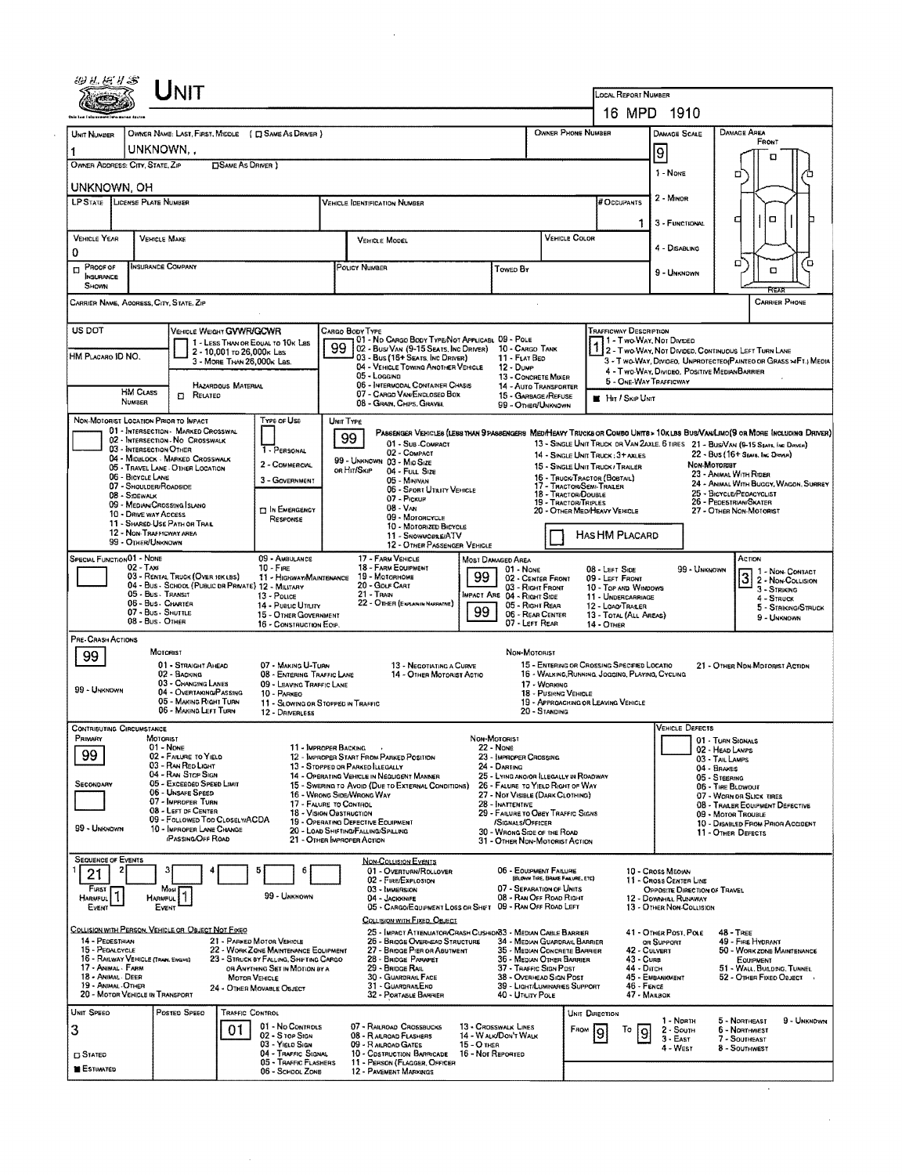|                                                                                                                                                                                                                                                                                                                                                                                                                                                                                                                         |                                                                                                                                                                                                                                                                                     | Unit                                                                                                                                                 |                              |                                                                                                                                                                            |                                                                                                                                                                                                                                                                                                               |                                                                                                                                                                                                                                                                                                                                                                                                                                                                                                                                                                                                                                            |                                                                                                                                                                                                                                                                                                                                                                                                                                                                                                                                                                                                                                                                                                                               |              |                                                                               |                                                        |               | LOCAL REPORT NUMBER                                                                                                                         |                                                                      |                                                                                                                                 |                                                 |                                                                                                                                                                                                                                                                            |                                                                  |  |
|-------------------------------------------------------------------------------------------------------------------------------------------------------------------------------------------------------------------------------------------------------------------------------------------------------------------------------------------------------------------------------------------------------------------------------------------------------------------------------------------------------------------------|-------------------------------------------------------------------------------------------------------------------------------------------------------------------------------------------------------------------------------------------------------------------------------------|------------------------------------------------------------------------------------------------------------------------------------------------------|------------------------------|----------------------------------------------------------------------------------------------------------------------------------------------------------------------------|---------------------------------------------------------------------------------------------------------------------------------------------------------------------------------------------------------------------------------------------------------------------------------------------------------------|--------------------------------------------------------------------------------------------------------------------------------------------------------------------------------------------------------------------------------------------------------------------------------------------------------------------------------------------------------------------------------------------------------------------------------------------------------------------------------------------------------------------------------------------------------------------------------------------------------------------------------------------|-------------------------------------------------------------------------------------------------------------------------------------------------------------------------------------------------------------------------------------------------------------------------------------------------------------------------------------------------------------------------------------------------------------------------------------------------------------------------------------------------------------------------------------------------------------------------------------------------------------------------------------------------------------------------------------------------------------------------------|--------------|-------------------------------------------------------------------------------|--------------------------------------------------------|---------------|---------------------------------------------------------------------------------------------------------------------------------------------|----------------------------------------------------------------------|---------------------------------------------------------------------------------------------------------------------------------|-------------------------------------------------|----------------------------------------------------------------------------------------------------------------------------------------------------------------------------------------------------------------------------------------------------------------------------|------------------------------------------------------------------|--|
|                                                                                                                                                                                                                                                                                                                                                                                                                                                                                                                         |                                                                                                                                                                                                                                                                                     |                                                                                                                                                      |                              |                                                                                                                                                                            |                                                                                                                                                                                                                                                                                                               |                                                                                                                                                                                                                                                                                                                                                                                                                                                                                                                                                                                                                                            |                                                                                                                                                                                                                                                                                                                                                                                                                                                                                                                                                                                                                                                                                                                               |              |                                                                               |                                                        |               |                                                                                                                                             |                                                                      | 16 MPD 1910                                                                                                                     |                                                 |                                                                                                                                                                                                                                                                            |                                                                  |  |
| UNIT NUMBER                                                                                                                                                                                                                                                                                                                                                                                                                                                                                                             |                                                                                                                                                                                                                                                                                     |                                                                                                                                                      |                              | OWNER NAME: LAST, FIRST, MIDDLE ( C) SAME AS DRIVER )                                                                                                                      |                                                                                                                                                                                                                                                                                                               |                                                                                                                                                                                                                                                                                                                                                                                                                                                                                                                                                                                                                                            |                                                                                                                                                                                                                                                                                                                                                                                                                                                                                                                                                                                                                                                                                                                               |              |                                                                               | OWNER PHONE NUMBER                                     |               |                                                                                                                                             |                                                                      | <b>DAMAGE SCALE</b>                                                                                                             |                                                 | DAMAGE AREA<br>FRONT                                                                                                                                                                                                                                                       |                                                                  |  |
| $\mathbf{1}$<br>OWNER ADDRESS: CITY, STATE, ZIP                                                                                                                                                                                                                                                                                                                                                                                                                                                                         |                                                                                                                                                                                                                                                                                     | UNKNOWN,,                                                                                                                                            | <b>OSAME AS DRIVER</b>       |                                                                                                                                                                            |                                                                                                                                                                                                                                                                                                               |                                                                                                                                                                                                                                                                                                                                                                                                                                                                                                                                                                                                                                            |                                                                                                                                                                                                                                                                                                                                                                                                                                                                                                                                                                                                                                                                                                                               |              |                                                                               |                                                        |               |                                                                                                                                             |                                                                      | 9                                                                                                                               |                                                 |                                                                                                                                                                                                                                                                            |                                                                  |  |
|                                                                                                                                                                                                                                                                                                                                                                                                                                                                                                                         |                                                                                                                                                                                                                                                                                     |                                                                                                                                                      |                              |                                                                                                                                                                            |                                                                                                                                                                                                                                                                                                               |                                                                                                                                                                                                                                                                                                                                                                                                                                                                                                                                                                                                                                            |                                                                                                                                                                                                                                                                                                                                                                                                                                                                                                                                                                                                                                                                                                                               |              |                                                                               |                                                        |               |                                                                                                                                             |                                                                      | 1 - NONE                                                                                                                        |                                                 | п                                                                                                                                                                                                                                                                          |                                                                  |  |
| UNKNOWN, OH<br>LP STATE LICENSE PLATE NUMBER                                                                                                                                                                                                                                                                                                                                                                                                                                                                            |                                                                                                                                                                                                                                                                                     |                                                                                                                                                      |                              |                                                                                                                                                                            |                                                                                                                                                                                                                                                                                                               | <b>VEHICLE IDENTIFICATION NUMBER</b>                                                                                                                                                                                                                                                                                                                                                                                                                                                                                                                                                                                                       |                                                                                                                                                                                                                                                                                                                                                                                                                                                                                                                                                                                                                                                                                                                               |              |                                                                               |                                                        |               | <b>BOCCUPANTS</b>                                                                                                                           |                                                                      | 2 - MINOR                                                                                                                       |                                                 |                                                                                                                                                                                                                                                                            |                                                                  |  |
|                                                                                                                                                                                                                                                                                                                                                                                                                                                                                                                         |                                                                                                                                                                                                                                                                                     |                                                                                                                                                      |                              |                                                                                                                                                                            |                                                                                                                                                                                                                                                                                                               |                                                                                                                                                                                                                                                                                                                                                                                                                                                                                                                                                                                                                                            |                                                                                                                                                                                                                                                                                                                                                                                                                                                                                                                                                                                                                                                                                                                               |              |                                                                               |                                                        |               |                                                                                                                                             | 1.                                                                   | 3 - FUNCTIONAL                                                                                                                  |                                                 | ₫                                                                                                                                                                                                                                                                          |                                                                  |  |
| <b>VEHICLE YEAR</b>                                                                                                                                                                                                                                                                                                                                                                                                                                                                                                     |                                                                                                                                                                                                                                                                                     | <b>VEHICLE MAKE</b>                                                                                                                                  |                              |                                                                                                                                                                            |                                                                                                                                                                                                                                                                                                               | <b>VEHICLE MODEL</b>                                                                                                                                                                                                                                                                                                                                                                                                                                                                                                                                                                                                                       |                                                                                                                                                                                                                                                                                                                                                                                                                                                                                                                                                                                                                                                                                                                               |              |                                                                               |                                                        | Vehicle Color |                                                                                                                                             |                                                                      | 4 - DISABLING                                                                                                                   |                                                 |                                                                                                                                                                                                                                                                            |                                                                  |  |
| 0<br>PROOF OF<br>$\Box$                                                                                                                                                                                                                                                                                                                                                                                                                                                                                                 |                                                                                                                                                                                                                                                                                     | Insurance Company                                                                                                                                    |                              |                                                                                                                                                                            |                                                                                                                                                                                                                                                                                                               | POLICY NUMBER                                                                                                                                                                                                                                                                                                                                                                                                                                                                                                                                                                                                                              |                                                                                                                                                                                                                                                                                                                                                                                                                                                                                                                                                                                                                                                                                                                               |              | Toweo By                                                                      |                                                        |               |                                                                                                                                             |                                                                      |                                                                                                                                 |                                                 | о                                                                                                                                                                                                                                                                          | ้ต                                                               |  |
| <b>INSURANCE</b><br>SHOWN                                                                                                                                                                                                                                                                                                                                                                                                                                                                                               |                                                                                                                                                                                                                                                                                     |                                                                                                                                                      |                              |                                                                                                                                                                            |                                                                                                                                                                                                                                                                                                               |                                                                                                                                                                                                                                                                                                                                                                                                                                                                                                                                                                                                                                            |                                                                                                                                                                                                                                                                                                                                                                                                                                                                                                                                                                                                                                                                                                                               |              |                                                                               |                                                        |               |                                                                                                                                             |                                                                      | 9 - UNKNOWN                                                                                                                     |                                                 | α                                                                                                                                                                                                                                                                          | Par                                                              |  |
| CARRIER NAME, ACORESS, CITY, STATE, ZIP                                                                                                                                                                                                                                                                                                                                                                                                                                                                                 |                                                                                                                                                                                                                                                                                     |                                                                                                                                                      |                              |                                                                                                                                                                            |                                                                                                                                                                                                                                                                                                               |                                                                                                                                                                                                                                                                                                                                                                                                                                                                                                                                                                                                                                            |                                                                                                                                                                                                                                                                                                                                                                                                                                                                                                                                                                                                                                                                                                                               |              |                                                                               |                                                        |               |                                                                                                                                             |                                                                      |                                                                                                                                 |                                                 |                                                                                                                                                                                                                                                                            | <b>CARRIER PHONE</b>                                             |  |
| US DOT                                                                                                                                                                                                                                                                                                                                                                                                                                                                                                                  |                                                                                                                                                                                                                                                                                     | VEHICLE WEIGHT GVWR/GCWR                                                                                                                             |                              |                                                                                                                                                                            |                                                                                                                                                                                                                                                                                                               | CARGO BODY TYPE<br>01 - No CARGO BODY TYPE/NOT APPLICABL 09 - POLE                                                                                                                                                                                                                                                                                                                                                                                                                                                                                                                                                                         |                                                                                                                                                                                                                                                                                                                                                                                                                                                                                                                                                                                                                                                                                                                               |              |                                                                               |                                                        |               | <b>TRAFFICWAY DESCRIPTION</b>                                                                                                               |                                                                      | 11 - Two Way, Not Divided                                                                                                       |                                                 |                                                                                                                                                                                                                                                                            |                                                                  |  |
| HM Placaro ID NO.                                                                                                                                                                                                                                                                                                                                                                                                                                                                                                       |                                                                                                                                                                                                                                                                                     |                                                                                                                                                      | 2 - 10.001 To 26.000 K Las   | 1 - LESS THAN OR EQUAL TO 10K LBS<br>3 - MORE THAN 26,000K Las.                                                                                                            | 99                                                                                                                                                                                                                                                                                                            | 02 - Bus/Van (9-15 Seats, Inc Driver)<br>03 - Bus (16+ Seats, Inc Driver)                                                                                                                                                                                                                                                                                                                                                                                                                                                                                                                                                                  |                                                                                                                                                                                                                                                                                                                                                                                                                                                                                                                                                                                                                                                                                                                               |              | 10 - CARGO TANK<br>11 - FLAT BED                                              |                                                        |               |                                                                                                                                             |                                                                      | 2 - Two-Way, Not Divideo, Continuous LEFT TURN LANE                                                                             |                                                 |                                                                                                                                                                                                                                                                            | 3 - T WO-WAY, DIVIDEO, UNPROTECTEO(PAINTEO OR GRASS > FT.) MEDIA |  |
|                                                                                                                                                                                                                                                                                                                                                                                                                                                                                                                         |                                                                                                                                                                                                                                                                                     |                                                                                                                                                      |                              |                                                                                                                                                                            |                                                                                                                                                                                                                                                                                                               | 04 - VEHICLE TOWING ANOTHER VEHICLE<br>05 - Logging                                                                                                                                                                                                                                                                                                                                                                                                                                                                                                                                                                                        |                                                                                                                                                                                                                                                                                                                                                                                                                                                                                                                                                                                                                                                                                                                               |              | 12 - Duwe<br>13 - CONCRETE MOLER                                              |                                                        |               |                                                                                                                                             |                                                                      | 4 - Two-Way, Divideo, Positive Median Barrier<br>5 - ONE-WAY TRAFFICWAY                                                         |                                                 |                                                                                                                                                                                                                                                                            |                                                                  |  |
|                                                                                                                                                                                                                                                                                                                                                                                                                                                                                                                         | <b>HM CLASS</b><br>NUMBER                                                                                                                                                                                                                                                           | RELATED<br>о                                                                                                                                         | HAZARDOUS MATERIAL           |                                                                                                                                                                            |                                                                                                                                                                                                                                                                                                               | 06 - INTERMODAL CONTAINER CHASIS<br>07 - CARGO VAN ENGLOSED BOX                                                                                                                                                                                                                                                                                                                                                                                                                                                                                                                                                                            |                                                                                                                                                                                                                                                                                                                                                                                                                                                                                                                                                                                                                                                                                                                               |              | 14 - AUTO TRANSPORTER<br>15 - GARBAGE/REFUSE                                  |                                                        |               | <b>HIT / SKIP UNIT</b>                                                                                                                      |                                                                      |                                                                                                                                 |                                                 |                                                                                                                                                                                                                                                                            |                                                                  |  |
|                                                                                                                                                                                                                                                                                                                                                                                                                                                                                                                         |                                                                                                                                                                                                                                                                                     |                                                                                                                                                      |                              | Type or Use                                                                                                                                                                |                                                                                                                                                                                                                                                                                                               | 08 - GRAIN, CHIPS, GRAVEL<br>UNIT TYPE                                                                                                                                                                                                                                                                                                                                                                                                                                                                                                                                                                                                     |                                                                                                                                                                                                                                                                                                                                                                                                                                                                                                                                                                                                                                                                                                                               |              | 99 - OTHER/UNKNOWN                                                            |                                                        |               |                                                                                                                                             |                                                                      |                                                                                                                                 |                                                 |                                                                                                                                                                                                                                                                            |                                                                  |  |
| NON-MOTORIST LOCATION PRIOR TO IMPACT<br>01 - INTERSECTION - MARKED CROSSWAL<br>02 - Intersection No Crosswalk<br>03 - INTERSECTION OTHER<br>1 - PERSONAL<br>04 - MIDBLOCK - MARKED CROSSWALK<br>2 - COMMERCIAL<br>05 - TRAVEL LANE - OTHER LOCATION<br>06 - BICYCLE LANE<br>3 - GOVERNMENT<br>07 - SHOULDER/ROADSIDE<br>08 - Sidewalk<br>09 - Median/Crossing Island<br><b>TI IN EMERGENCY</b><br>10 - DRIVE WAY ACCESS<br>RESPONSE<br>11 - SHARED-USE PATH OR TRAIL<br>12 - NON-TRAFFICWAY AREA<br>99 - OTHER/UNKNOWN |                                                                                                                                                                                                                                                                                     |                                                                                                                                                      |                              |                                                                                                                                                                            |                                                                                                                                                                                                                                                                                                               | PASSENGER VEHICLES (LESS THAN 9 PASSENGERS MED/HEAVY TRUCKS OR COMBO UNITS > 10KLBS BUS/VAN/LIMO(9 OR MORE INCLUDING DRIVER)<br>99<br>01 - Sub-Compact<br>02 - COMPACT<br>14 - SINGLE UNIT TRUCK ; 3+ AXLES<br>99 - UNKNOWN 03 - MIO SIZE<br>15 - SINGLE UNIT TRUCK / TRAILER<br>or Hit/Skip<br>04 - FULL SIZE<br>16 - TRUCK/TRACTOR (BOBTAIL)<br>05 - Mentvan<br>17 - TRACTOR/SEMI-TRALER<br>06 - Sport Utility Vehicle<br>18 - TRACTOR/DOUBLE<br>07 - Pickup<br>19 - TRACTOR/TRIPLES<br>$08 - V_{AN}$<br>20 - OTHER MEDIHEAVY VEHICLE<br>09 - MOTORCYCLE<br>10 - MOTORIZED BICYCLE<br>11 - SNOWMOBLE/ATV<br>12 - OTHER PASSENGER VEHICLE |                                                                                                                                                                                                                                                                                                                                                                                                                                                                                                                                                                                                                                                                                                                               |              |                                                                               |                                                        |               |                                                                                                                                             | HAS HM PLACARD                                                       |                                                                                                                                 | Non-Motoriet                                    | 13 - SINGLE UNIT TRUCK OR VAN ZAXLE, 6 TIRES 21 - BUS/VAN (9-15 SEATS, INC DRIVER)<br>22 - BUS (16+ Seats, Inc Driver)<br>23 - ANIMAL WITH RIDER<br>24 - ANIMAL WITH BUGGY, WAGON, SURREY<br>25 - BICYCLE/PEDACYCLIST<br>26 - Pedestrian/Skater<br>27 - OTHER NON-MOTORIST |                                                                  |  |
| SPECIAL FUNCTION 01 - NONE                                                                                                                                                                                                                                                                                                                                                                                                                                                                                              | 02 - Taxi<br>05 - Bus - Transit<br>06 - Bus - Charter<br>07 - Bus - SHUTTLE<br>08 - Bus - OTHER                                                                                                                                                                                     | 03 - RENTAL TRUCK (OVER 10KLBS)<br>04 - Bus - SCHOOL (PUBLIC DR PRIVATE) 12 - MILITARY                                                               |                              | 09 - AMBULANCE<br>$10 -$ Fine<br>11 - HIGHWAY/MAINTENANCE<br>13 - Pouce<br>14 - PUBLIC UTILITY<br>15 - OTHER GOVERNMENT<br>16 - CONSTRUCTION EOP.                          | 17 - FARM VEHICLE<br>MOST DAMAGED AREA<br>18 - FARM EOUIPMENT<br>01 - NONE<br>99<br>19 - MOTORHOME<br>02 - CENTER FRONT<br>20 - Golf Cart<br>03 - RIGHT FRONT<br>$21 -$ Train<br>IMPACT ARE 04 - RIGHT SIDE<br>22 - OTHER (EXPLANUM NARRATIVE)<br>05 - RIGHT REAR<br>99<br>06 - REAR CENTER<br>07 - LEFT REAR |                                                                                                                                                                                                                                                                                                                                                                                                                                                                                                                                                                                                                                            |                                                                                                                                                                                                                                                                                                                                                                                                                                                                                                                                                                                                                                                                                                                               |              |                                                                               |                                                        |               | 08 - LEFT SIDE<br>09 - LEFT FRONT<br>10 - TOP AND WINDOWS<br>11 - UNDERCARRIAGE<br>12 - LOAO/TRAKER<br>13 - TOTAL (ALL AREAS)<br>14 - OTHER |                                                                      | 99 - UNKNOWN                                                                                                                    |                                                 | ACTION<br>1 - Non-CONTACT<br>3<br>2 - Non-Collision<br>3 - STRIKING<br>4 - STRUCK<br>5 - STRIKNG/STRUCK<br>9 - UNKNOWN                                                                                                                                                     |                                                                  |  |
| PRE- CRASH ACTIONS<br>99<br>99 - UNKNOWN                                                                                                                                                                                                                                                                                                                                                                                                                                                                                |                                                                                                                                                                                                                                                                                     | MOTORIST<br>01 - STRAIGHT AHEAD<br>02 - BACKING<br>03 - Changing Lanes<br>04 - Overtaking/Passing<br>05 - MAKING RIGHT TURN<br>06 - MAKING LEFT TURN |                              | 07 - MAKING U-TURN<br>08 - ENTERING TRAFFIC LANE<br>09 - LEAVING FRAFFIC LANE<br>10 - PARKEO<br>11 - SLOWING OR STOPPED IN TRAFFIC<br>12 - DRIVERLESS                      |                                                                                                                                                                                                                                                                                                               |                                                                                                                                                                                                                                                                                                                                                                                                                                                                                                                                                                                                                                            | 13 - Negotiating a Curve<br>14 - OTHER MOTORIST ACTIO                                                                                                                                                                                                                                                                                                                                                                                                                                                                                                                                                                                                                                                                         |              | Non-Motorist                                                                  | I / - Working<br>18 - PUSHING VEHICLE<br>20 - STANDING |               | 15 - ENTERING OR CROSSING SPECIFIED LOCATIO<br>16 - WALKING, RUNNING, JOGGING, PLAYING, CYCLING<br>19 - APPROACHING OR LEAVING VEHICLE      |                                                                      |                                                                                                                                 |                                                 | 21 - OTHER NON-MOTORIST ACTION                                                                                                                                                                                                                                             |                                                                  |  |
| <b>CONTRIBUTING CIRCUMSTANCE</b><br>PRIMARY                                                                                                                                                                                                                                                                                                                                                                                                                                                                             |                                                                                                                                                                                                                                                                                     | MOTORIST                                                                                                                                             |                              |                                                                                                                                                                            |                                                                                                                                                                                                                                                                                                               |                                                                                                                                                                                                                                                                                                                                                                                                                                                                                                                                                                                                                                            |                                                                                                                                                                                                                                                                                                                                                                                                                                                                                                                                                                                                                                                                                                                               | NON-MOTORIST |                                                                               |                                                        |               |                                                                                                                                             |                                                                      | VEHICLE DEFECTS                                                                                                                 | 01 - TURN SIGNALS                               |                                                                                                                                                                                                                                                                            |                                                                  |  |
| 99<br>SECONDARY                                                                                                                                                                                                                                                                                                                                                                                                                                                                                                         | $01 - None$<br>02 - FAILURE TO YIELD<br>03 - RAN REO LIGHT<br>04 - RAN STOP SIGN<br>05 - Excesoso Speso Limit<br>06 - UNSAFE SPEED<br>07 - IMPROPER TURN<br>08 - LEFT OF CENTER<br>09 - FOLLOWED TOO CLOSELY/ACDA<br>99 - UNKNOWN<br>10 - IMPROPER LANE CHANGE<br>(Passing/Off Road |                                                                                                                                                      |                              |                                                                                                                                                                            |                                                                                                                                                                                                                                                                                                               |                                                                                                                                                                                                                                                                                                                                                                                                                                                                                                                                                                                                                                            | 11 - IMPROPER BACKING<br>22 - None<br>12 - IMPROPER START FROM PARKED POSITION<br>23 - IMPROPER CROSSING<br>13 - STOPPED OR PARKED LLEGALLY<br>24 - DARTING<br>14 - Operating Vehicle in Negligent Manner<br>25 - LYING ANO/OR LLEGALLY IN ROADWAY<br>15 - Swering to Avoid (Due to External Conditions)<br>26 - FALURE TO YIELD RIGHT OF WAY<br>16 - WRONG SIDE/WRONG WAY<br>27 - Not Visible (DARK Clothing)<br>17 - FALURE TO CONTROL<br>28 - INATTENTIVE<br>18 - Vision Oastruction<br>29 - FAILURE TO OBEY TRAFFIC SIGNS<br>19 - OPERATING DEFECTIVE EQUIPMENT<br>/SIGNALS/OFFICER<br>20 - LOAD SHIFTING/FALLING/SPILLING<br>30 - WRONG SIDE OF THE ROAD<br>21 - OTHER IMPROPER ACTION<br>31 - OTHER NON-MOTORIST ACTION |              |                                                                               |                                                        |               |                                                                                                                                             |                                                                      |                                                                                                                                 | 03 - TAIL LAMPS<br>04 - BRAKES<br>05 - STEERING | 02 - HEAD LAMPS<br>06 - THE BLOWOUT<br>07 - WORN OR SLICK TIRES<br>08 - TRALER EQUIPMENT DEFECTIVE<br>09 - Motor Trouble<br>10 - DISABLED FROM PRIOR ACCIDENT<br>11 - OTHER DEFECTS                                                                                        |                                                                  |  |
| <b>SEQUENCE OF EVENTS</b><br>21<br>Finst<br>Harmful.<br>Event                                                                                                                                                                                                                                                                                                                                                                                                                                                           |                                                                                                                                                                                                                                                                                     | Most<br><b>HARMFUL</b><br>EVENT                                                                                                                      |                              | 6<br>99 - UNKNOWN                                                                                                                                                          |                                                                                                                                                                                                                                                                                                               | NON-COLLISION EVENTS<br>01 - Overturn/Rollover<br>02 - FIRE/EXPLOSION<br>03 - IMMERSION<br>04 - JACKKNIFE<br>05 - CARGO/EQUIPMENT LOSS OR SHIFT 09 - RAN OFF ROAD LEFT                                                                                                                                                                                                                                                                                                                                                                                                                                                                     |                                                                                                                                                                                                                                                                                                                                                                                                                                                                                                                                                                                                                                                                                                                               |              | 06 - EQUIPMENT FAILURE<br>07 - SEPARATION OF UNITS<br>08 - RAN OFF ROAD RIGHT | (BLOWN TIRE, BRAKE FAALURE, ETC)                       |               |                                                                                                                                             |                                                                      | 10 - Cross MEOIAN<br>11 - Cross CENTER LINE<br>OPPOSITE DIRECTION OF TRAVEL<br>12 - DOWNHAL RUNAWAY<br>13 - OTHER NON-COLLISION |                                                 |                                                                                                                                                                                                                                                                            |                                                                  |  |
| 14 - PEDESTRIAN<br>15 - PEDALCYCLE<br>16 - RAILWAY VEHICLE (TRAN. ENGINE)<br>17 - ANIMAL - FARM<br>18 - Animal Deer<br>19 - ANIMAL OTHER<br>20 - MOTOR VEHICLE IN TRANSPORT                                                                                                                                                                                                                                                                                                                                             |                                                                                                                                                                                                                                                                                     | COLLISION WITH PERSON, VEHICLE OR OBJECT NOT FIXED                                                                                                   | <b>MOTOR VEHICLE</b>         | 21 - PARKED MOTOR VEHICLE<br>22 - WORK ZONE MAINTENANCE EQUIPMENT<br>23 - STRUCK BY FALLING, SHIFTING CARGO<br>OR ANYTHING SET IN MOTION BY A<br>24 - OTHER MOVABLE OBJECT |                                                                                                                                                                                                                                                                                                               | COLLISION WITH FIXED, OBJECT<br>25 - IMPACT ATTENUATOR/CRASH CUSHION 3 - MEDIAN CABLE BARRIER<br>26 - BRIDGE OVERHEAD STRUCTURE<br>34 - Median Guardrail Barrier<br>27 - BRIDGE PIER OR ABUTMENT<br>35 - MEDIAN CONCRETE BARRIER<br>28 - BRIDGE PARAPET<br>36 - MEDIAN OTHER BARRIER<br>29 - BRIDGE RAIL<br>37 - TRAFFIC SIGN POST<br>30 - GUARDRAIL FACE<br>38 - OVERHEAD SIGN POST<br>31 - GUARDRAILENO<br>39 - LIGHT/LUMINARIES SUPPORT<br>32 - PORTABLE BARRIER<br>40 - UTILITY POLE                                                                                                                                                   |                                                                                                                                                                                                                                                                                                                                                                                                                                                                                                                                                                                                                                                                                                                               |              |                                                                               |                                                        |               |                                                                                                                                             | 42 - CULVERT<br>43 - Cuna<br>44 - Олсн<br>46 - FENCE<br>47 - MAILBOX | 41 - OTHER POST, POLE<br>OR SUPPORT<br>45 - EMBANKMENT                                                                          |                                                 | <b>48 - TREE</b><br>49 - FIRE HYDRANT<br>50 - WORK ZONE MAINTENANCE<br>EQUIPMENT<br>51 - WALL, BUILDING, TUNNEL<br>52 - Other Fixed Object                                                                                                                                 |                                                                  |  |
| UNIT SPEED<br>3<br><b>CJ STATED</b><br><b>ESTIMATED</b>                                                                                                                                                                                                                                                                                                                                                                                                                                                                 |                                                                                                                                                                                                                                                                                     | Posted SPEED                                                                                                                                         | <b>TRAFFIC CONTROL</b><br>01 | 01 - No Controls<br>02 - S TOP SIGN<br>03 - YIELD SIGN<br>04 - TRAFFIC SIGNAL<br>05 - TRAFFIC FLASHERS<br>06 - SCHOOL ZONE                                                 |                                                                                                                                                                                                                                                                                                               | 07 - RAILROAD CROSSBUCKS<br>08 - RALROAD FLASHERS<br>09 - RALROAD GATES<br>10 - COSTRUCTION BARRICADE 16 - NOT REPORTED<br>11 - PERSON (FLAGGER, OFFICER<br>12 - PAVEMENT MARKINGS                                                                                                                                                                                                                                                                                                                                                                                                                                                         |                                                                                                                                                                                                                                                                                                                                                                                                                                                                                                                                                                                                                                                                                                                               | 15 - О тнев  | 13 - CROSSWALK LINES<br>14 - W ALK/DON'T WALK                                 |                                                        | FROM          | UNIT DIRECTION<br>To<br>9                                                                                                                   | 9                                                                    | 1 - North<br>$2 -$ South<br>$3 - EAST$<br>4 - West                                                                              |                                                 | 5 - Northeast<br>6 - NORTHWEST<br>7 - SOUTHEAST<br>8 - SOUTHWEST                                                                                                                                                                                                           | 9 - UNKNOWN                                                      |  |
|                                                                                                                                                                                                                                                                                                                                                                                                                                                                                                                         |                                                                                                                                                                                                                                                                                     |                                                                                                                                                      |                              |                                                                                                                                                                            |                                                                                                                                                                                                                                                                                                               |                                                                                                                                                                                                                                                                                                                                                                                                                                                                                                                                                                                                                                            |                                                                                                                                                                                                                                                                                                                                                                                                                                                                                                                                                                                                                                                                                                                               |              |                                                                               |                                                        |               |                                                                                                                                             |                                                                      |                                                                                                                                 |                                                 |                                                                                                                                                                                                                                                                            |                                                                  |  |

 $\mathcal{A}^{\mathcal{A}}$ 

 $\sim 10^6$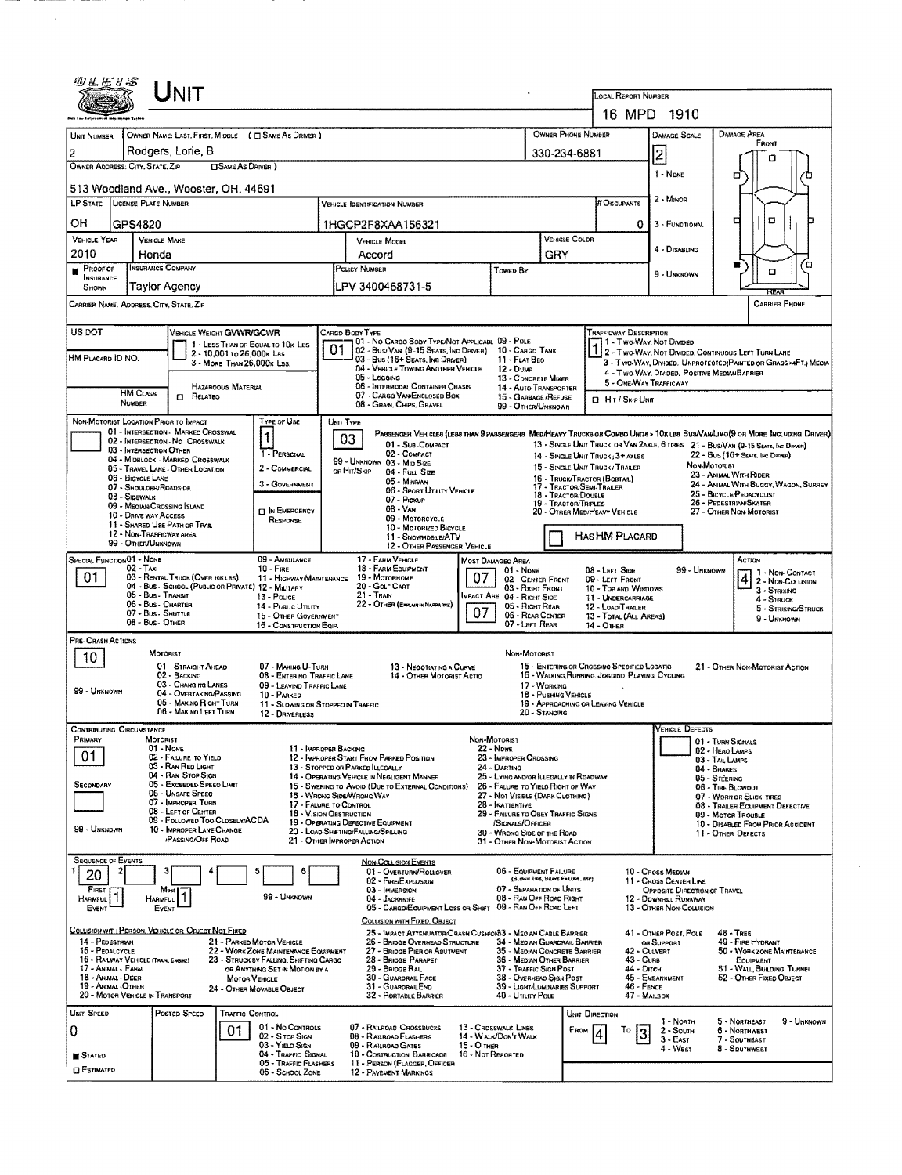| 四丛丛り写                                                                                                                       |                                                                                     | JNIT                                                                  |                            |                                                                          |                                                                                     |                                                                                                         |                              |                                                                       |                                  |                      |                                                                  |                                                        |                                                        |                                                                                                                                                                                                                   |             |  |  |
|-----------------------------------------------------------------------------------------------------------------------------|-------------------------------------------------------------------------------------|-----------------------------------------------------------------------|----------------------------|--------------------------------------------------------------------------|-------------------------------------------------------------------------------------|---------------------------------------------------------------------------------------------------------|------------------------------|-----------------------------------------------------------------------|----------------------------------|----------------------|------------------------------------------------------------------|--------------------------------------------------------|--------------------------------------------------------|-------------------------------------------------------------------------------------------------------------------------------------------------------------------------------------------------------------------|-------------|--|--|
|                                                                                                                             |                                                                                     |                                                                       |                            |                                                                          |                                                                                     |                                                                                                         |                              |                                                                       |                                  |                      | <b>LOCAL REPORT NUMBER</b>                                       | 16 MPD 1910                                            |                                                        |                                                                                                                                                                                                                   |             |  |  |
|                                                                                                                             |                                                                                     |                                                                       |                            |                                                                          |                                                                                     |                                                                                                         |                              |                                                                       |                                  |                      |                                                                  |                                                        |                                                        |                                                                                                                                                                                                                   |             |  |  |
| <b>UNIT NUMBER</b>                                                                                                          |                                                                                     |                                                                       |                            | OWNER NAME: LAST, FIRST, MIDDLE ( C SAME AS DRIVER )                     |                                                                                     |                                                                                                         |                              |                                                                       | OWNER PHONE NUMBER               |                      |                                                                  | <b>DAMAGE SCALE</b>                                    |                                                        | <b>DAMAGE AREA</b><br>FRONT                                                                                                                                                                                       |             |  |  |
| $\overline{2}$<br>OWNER ADDRESS: CITY, STATE, ZIP                                                                           |                                                                                     | Rodgers, Lorie, B                                                     | <b>OSAME AS DRIVER</b> )   |                                                                          |                                                                                     |                                                                                                         |                              |                                                                       | 330-234-6881                     |                      |                                                                  | Ī2                                                     |                                                        | а                                                                                                                                                                                                                 |             |  |  |
|                                                                                                                             | 513 Woodland Ave., Wooster, OH, 44691                                               |                                                                       |                            |                                                                          |                                                                                     |                                                                                                         |                              |                                                                       |                                  |                      |                                                                  |                                                        |                                                        | о                                                                                                                                                                                                                 |             |  |  |
|                                                                                                                             | LP STATE LICENSE PLATE NUMBER<br># Occupants<br><b>VEHICLE IDENTS CATION NUMBER</b> |                                                                       |                            |                                                                          |                                                                                     |                                                                                                         |                              |                                                                       |                                  |                      |                                                                  |                                                        |                                                        |                                                                                                                                                                                                                   |             |  |  |
| он                                                                                                                          |                                                                                     |                                                                       |                            |                                                                          |                                                                                     |                                                                                                         |                              |                                                                       |                                  |                      |                                                                  | 3 - FUNCTIONAL                                         |                                                        | ο<br>а                                                                                                                                                                                                            |             |  |  |
| <b>VEHICLE YEAR</b>                                                                                                         | GPS4820<br><b>VEHICLE MAKE</b>                                                      |                                                                       |                            |                                                                          |                                                                                     | 1HGCP2F8XAA156321<br><b>VEHICLE MODEL</b>                                                               |                              |                                                                       |                                  | <b>VEHICLE COLOR</b> | 0                                                                |                                                        |                                                        |                                                                                                                                                                                                                   |             |  |  |
| 2010                                                                                                                        | Honda                                                                               |                                                                       |                            |                                                                          |                                                                                     | Accord                                                                                                  |                              |                                                                       | GRY                              |                      |                                                                  | 4 - DISABLING                                          |                                                        |                                                                                                                                                                                                                   |             |  |  |
| PROOF OF<br>п<br>INSURANCE                                                                                                  | <b>INSURANCE COMPANY</b>                                                            |                                                                       |                            |                                                                          |                                                                                     | POLICY NUMBER                                                                                           |                              | Towed BY                                                              |                                  |                      |                                                                  | 9 - UNKNOWN                                            |                                                        | $\Box$                                                                                                                                                                                                            | ้ต          |  |  |
| SHOWN                                                                                                                       |                                                                                     | <b>Taylor Agency</b>                                                  |                            |                                                                          |                                                                                     | PV 3400468731-5                                                                                         |                              |                                                                       |                                  |                      |                                                                  |                                                        |                                                        | REAR                                                                                                                                                                                                              |             |  |  |
| CARRIER NAME, ADDRESS, CITY, STATE, ZIP                                                                                     |                                                                                     |                                                                       |                            |                                                                          |                                                                                     |                                                                                                         |                              |                                                                       |                                  |                      |                                                                  |                                                        |                                                        | <b>CARRIER PHONE</b>                                                                                                                                                                                              |             |  |  |
| US DOT                                                                                                                      |                                                                                     | VEHICLE WEIGHT GVWR/GCWR                                              |                            |                                                                          |                                                                                     | CARGO BODY TYPE                                                                                         |                              |                                                                       |                                  |                      | <b>TRAFFICWAY DESCRIPTION</b>                                    |                                                        |                                                        |                                                                                                                                                                                                                   |             |  |  |
|                                                                                                                             |                                                                                     |                                                                       | 2 - 10,001 to 26,000k Las  | 1 - LESS THAN OR EQUAL TO 10K LBS                                        | 01                                                                                  | 101 - No CARGO BODY TYPE/NOT APPLICABL 09 - POLE<br>02 - Busi Van (9-15 Seats, Inc Driver)              |                              | 10 - CARGO TANK                                                       |                                  |                      |                                                                  | 1 - Two-Way, Not Divideo                               |                                                        | 2 - Two-Way, Not Divided, Continuous LEFT TURN LANE                                                                                                                                                               |             |  |  |
| HM PLACARD ID NO.                                                                                                           |                                                                                     |                                                                       | 3 - MORE THAN 26,000K LBS. |                                                                          |                                                                                     | 03 - Bus (16+ Seats, Inc Driver)<br>04 - VEHICLE TOWING ANOTHER VEHICLE                                 |                              | 11 - FLAT BEO<br>12 - Dump                                            |                                  |                      |                                                                  | 4 - Two-WAY, DIVIDED, POSITIVE MEDIAN BARRIER          |                                                        | 3 - Two-Way, Divided. Unprotected(Painted or Grass >4FT.) Media                                                                                                                                                   |             |  |  |
|                                                                                                                             |                                                                                     |                                                                       | <b>HAZAROOUS MATERIAL</b>  |                                                                          |                                                                                     | 05 - Logging<br>06 - INTERMODAL CONTAINER CHASIS                                                        |                              | 13 - CONCRETE MIXER<br>14 - AUTO TRANSPORTER                          |                                  |                      | 5 - ONE-WAY TRAFFICWAY                                           |                                                        |                                                        |                                                                                                                                                                                                                   |             |  |  |
|                                                                                                                             | <b>HM Cuss</b><br>NUMBER                                                            | <b>CI RELATED</b>                                                     |                            |                                                                          |                                                                                     | 07 - CARGO VAN ENCLOSED BOX<br>08 - GRAN, CHIPS, GRAVEL                                                 |                              | 15 - GARBAGE / REFUSE<br>99 - OTHER/UNKNOWN                           |                                  |                      | <b>CI Hit / Skip Unit</b>                                        |                                                        |                                                        |                                                                                                                                                                                                                   |             |  |  |
| NON-MOTORIST LOCATION PRIOR TO IMPACT                                                                                       |                                                                                     |                                                                       |                            | Type of Use                                                              | UNIT TYPE                                                                           |                                                                                                         |                              |                                                                       |                                  |                      |                                                                  |                                                        |                                                        |                                                                                                                                                                                                                   |             |  |  |
|                                                                                                                             |                                                                                     | 01 - INTERSECTION - MARKED CROSSWAL<br>02 - INTERSECTION NO CROSSWALK |                            | 1                                                                        | 03                                                                                  | 01 - Sub COMPACT                                                                                        |                              |                                                                       |                                  |                      |                                                                  |                                                        |                                                        | PASSENGER VEHICLES (LESS THAN SPASSENGERS MED/HEAVY TRUCKS OR COMBO UNITS > 10X LBS BUS/VAN/LIMO(S OR MORE INCLUDING DRIVER)<br>13 - SINGLE UNIT TRUCK OR VAN ZAXLE, 6 TRES 21 - BUS/VAN (9-15 SEATS, INC DRIVER) |             |  |  |
|                                                                                                                             | 03 - INTERSECTION OTHER                                                             | 04 - MIDBLOCK - MARKED CROSSWALK                                      |                            | 1 - PERSONAL                                                             |                                                                                     | 02 - COMPACT<br>99 - UNKNOWN 03 - MID SIZE                                                              |                              |                                                                       |                                  |                      | 14 - SINGLE UNIT TRUCK; 3+ AXLES                                 |                                                        | <b><i>Now Motoriat</i></b>                             | 22 - Bus (16+ Sears, Inc Driver)                                                                                                                                                                                  |             |  |  |
|                                                                                                                             | 06 - BICYCLE LANE                                                                   | 05 - TRAVEL LANE - OTHER LOCATION                                     |                            | 2 - COMMERCIAL<br>3 - GOVERNMENT                                         |                                                                                     | on Hir/Skip<br>04 - Futt Size<br>05 - MINIVAN                                                           |                              |                                                                       |                                  |                      | 15 - SINGLE UNIT TRUCK / TRAILER<br>16 - Truck/Tractor (Bobtar.) |                                                        |                                                        | 23 - ANIMAL WITH RIDER<br>24 - ANIMAL WITH BUGGY, WAGON, SURREY                                                                                                                                                   |             |  |  |
|                                                                                                                             | 07 - SHOULDER/ROADSIDE<br>08 - Sidewalk                                             |                                                                       |                            |                                                                          |                                                                                     | 06 - Sport Utility Vehicle<br>07 - Pickup                                                               |                              |                                                                       | 18 - TRACTOR/DOUBLE              |                      | 17 - TRACTOR/SEMI-TRAILER                                        |                                                        |                                                        | 25 - BICYCLE/PEOACYCLIST<br>26 - PEDESTRIAN/SKATER                                                                                                                                                                |             |  |  |
|                                                                                                                             | 10 - DRIVE WAY ACCESS                                                               | 09 - MEOIAN CROSSING SLAND                                            |                            | <b>D</b> IN EMERGENCY<br>RESPONSE                                        | 19 - TRACTOR/TRIPLES<br>08 - VAN<br>20 - OTHER MEDIMEAVY VEHICLE<br>09 - MOTORCYCLE |                                                                                                         |                              |                                                                       |                                  |                      |                                                                  |                                                        |                                                        | 27 - OTHER NON-MOTORIST                                                                                                                                                                                           |             |  |  |
| 11 - SHARED-USE PATH OR TRAS.<br>10 - MOTORIZEO BICYCLE<br>12 - NON-TRAFFICWAY AREA<br>HASHM PLACARD<br>11 - SNOWMOBILE/ATV |                                                                                     |                                                                       |                            |                                                                          |                                                                                     |                                                                                                         |                              |                                                                       |                                  |                      |                                                                  |                                                        |                                                        |                                                                                                                                                                                                                   |             |  |  |
| SPECIAL FUNCTION 01 - NONE                                                                                                  | 99 - OTHER/UNKNOWN                                                                  |                                                                       |                            | 09 - AMBULANCE                                                           |                                                                                     | 17 - FARM VEHICLE                                                                                       | 12 - OTHER PASSENGER VEHICLE | MOST DAMAGEO AREA                                                     |                                  |                      |                                                                  |                                                        |                                                        | Action                                                                                                                                                                                                            |             |  |  |
| 01                                                                                                                          | 02 - Taxi                                                                           | 03 - RENTAL TRUCK (OVER 10K LBS)                                      |                            | $10 -$ Fire<br>11 - HIGHWAY/MAINTENANCE                                  |                                                                                     | 18 - FARM EQUIPMENT<br>19 - Мотовноме                                                                   | 07                           | 01 - NONE<br>02 - CENTER FRONT                                        |                                  |                      | 08 - LEFT SIDE<br>09 - LEFT FRONT                                |                                                        | 99 - UNKNOWN                                           | 1 - Non-Contact                                                                                                                                                                                                   |             |  |  |
|                                                                                                                             | 05 - Bus - Transit                                                                  | 04 - Bus - SCHOOL (PUBLIC OR PRIVATE) 12 - MILITARY                   |                            | 13 Pouce                                                                 |                                                                                     | 20 - Golf CART<br>21 - TRAIN                                                                            |                              | 03 - Right Front<br>MPACT ARE 04 - RIGHT SIDE                         |                                  |                      | 10 - Top and Windows<br>11 - UNDERCARRIAGE                       |                                                        |                                                        | 2 - Non-Collision<br>3 - STRIKING                                                                                                                                                                                 |             |  |  |
|                                                                                                                             | 06 - Bus - Charter<br>07 - Bus - SHUTTLE                                            |                                                                       |                            | 14 - PUBLIC UTILITY<br>15 - OTHER GOVERNMENT                             |                                                                                     | 22 - OTHER (EXPLAN IN NARATIVE)                                                                         | 07                           | 05 - Right Rear<br>06 - REAR CENTER                                   |                                  |                      | 12 - LOAD/TRAILER<br>13 - TOTAL (ALL AREAS)                      |                                                        |                                                        | $4 -$ STRUCK<br>5 - STRIKING/STRUCK                                                                                                                                                                               |             |  |  |
|                                                                                                                             | 08 - Bus - OTHER                                                                    |                                                                       |                            | 16 - CONSTRUCTION EQIP.                                                  |                                                                                     |                                                                                                         |                              | 07 - LEFT REAR                                                        |                                  |                      | <b>14 - OTHER</b>                                                |                                                        |                                                        | 9 - Ummown                                                                                                                                                                                                        |             |  |  |
| PRE-CRASH ACTIONS                                                                                                           |                                                                                     | MOTORIST                                                              |                            |                                                                          |                                                                                     |                                                                                                         |                              | Non-Motorist                                                          |                                  |                      |                                                                  |                                                        |                                                        |                                                                                                                                                                                                                   |             |  |  |
| 10                                                                                                                          |                                                                                     | 01 - STRAIGHT AHEAD                                                   |                            | 07 - MAKING U-TURN                                                       |                                                                                     | 13 - NEGOTIATING A CURVE                                                                                |                              |                                                                       |                                  |                      | 15 - ENTERING OR CROSSINO SPECIFIED LOCATIO                      |                                                        |                                                        | 21 - OTHER NON-MOTORIST ACTION                                                                                                                                                                                    |             |  |  |
| 99 - UNKNOWN                                                                                                                |                                                                                     | 02 - BACKING<br>03 - CHANGING LANES                                   |                            | 08 - ENTERINO TRAFFIC LANE<br>09 - LEAVINO TRAFFIC LANE                  |                                                                                     | 14 - OTHER MOTORIST ACTIO                                                                               |                              |                                                                       | 17 - WORKING                     |                      | 16 - WALKING, RUNNING, JOGGIND, PLAYING, CYCLING                 |                                                        |                                                        |                                                                                                                                                                                                                   |             |  |  |
|                                                                                                                             |                                                                                     | 04 - OVERTAKING/PASSING<br>05 - MAKING RIGHT TURN                     |                            | 10 - PARKED<br>11 - SLOWING OR STOPPEO IN TRAFFIC                        |                                                                                     |                                                                                                         |                              |                                                                       | 18 - Pushing Vehicle             |                      | 19 - APPROACHING OR LEAVING VEHICLE                              |                                                        |                                                        |                                                                                                                                                                                                                   |             |  |  |
| CONTRIBUTING CIRCUMSTANCE                                                                                                   |                                                                                     | 06 - MAKINO LEFT TURN                                                 |                            | 12 - DRIVERLESS                                                          |                                                                                     |                                                                                                         |                              |                                                                       | 20 - STANDING                    |                      |                                                                  | VEHICLE DEFECTS                                        |                                                        |                                                                                                                                                                                                                   |             |  |  |
| PRIMARY                                                                                                                     | <b>MOTORIST</b>                                                                     | 01 - None                                                             |                            | 11 - IMPROPER BACKING                                                    |                                                                                     |                                                                                                         |                              | NON-MOTORIST<br>22 - None                                             |                                  |                      |                                                                  |                                                        | 101 - TURN SIGNALS                                     |                                                                                                                                                                                                                   |             |  |  |
| 01                                                                                                                          |                                                                                     | 02 - FAILURE TO YIELD<br>03 - RAN RED LIGHT                           |                            |                                                                          |                                                                                     | 12 - IMPROPER START FROM PARKED POSITION                                                                |                              | 23 - IMPROPER CROSSING                                                |                                  |                      |                                                                  |                                                        | 02 - HEAO LAMPS<br>03 - TAIL LAMPS                     |                                                                                                                                                                                                                   |             |  |  |
| SECONDARY                                                                                                                   |                                                                                     | 04 - RAN STOP SIGN<br>05 - Exceeded Speed Limit                       |                            |                                                                          |                                                                                     | 13 - Stopped on Parkeo Illegally<br>14 - OPERATING VEHICLE IN NEGLIGENT MANNER                          |                              | 24 - DARTING<br>25 - LYING AND/OR LLEGALLY IN ROADWAY                 |                                  |                      |                                                                  |                                                        | 04 - BRAKES<br>05 - STEERING                           |                                                                                                                                                                                                                   |             |  |  |
|                                                                                                                             |                                                                                     | 06 - UNSAFE SPEED<br>07 - IMPROPER TURN                               |                            |                                                                          |                                                                                     | 15 - SWERING TO AVOID (DUE TO EXTERNAL CONDITIONS)<br>16 - WRONG SIDE/WRONG WAY                         |                              | 26 - FALURE TO YIELD RIGHT OF WAY<br>27 - NOT VISIBLE (DARK CLOTHING) |                                  |                      |                                                                  |                                                        | 06 - TIRE BLOWOUT                                      | 07 - WORN OR SLICK TIRES                                                                                                                                                                                          |             |  |  |
|                                                                                                                             |                                                                                     | 08 - LEFT OF CENTER<br>09 - FOLLOWED TOO CLOSELY/ACDA                 |                            | 17 - FALURE TO CONTROL<br>18 - VISION OBSTRUCTION                        |                                                                                     |                                                                                                         |                              | 28 - INATTENTIVE<br>29 - FAILURE TO OBEY TRAFFIC SIGNS                |                                  |                      |                                                                  |                                                        | 08 - TRAILER EQUIPMENT DEFECTIVE<br>09 - Motor Trouble |                                                                                                                                                                                                                   |             |  |  |
| 99 - UNKNOWN                                                                                                                |                                                                                     | 10 - IMPROPER LANE CHANGE<br>PASSING/OFF ROAD                         |                            |                                                                          |                                                                                     | 19 - OPERATING DEFECTIVE EQUIPMENT<br>20 - LOAD SHIFTING/FALLING/SPILLING<br>21 - OTHER IMPROPER ACTION |                              | SIGNALS/OFFICER<br>30 - WRONG SIDE OF THE ROAD                        |                                  |                      |                                                                  |                                                        | 11 - OTHER DEFECTS                                     | 10 - DISABLED FROM PRIOR ACCIDENT                                                                                                                                                                                 |             |  |  |
| <b>SEQUENCE OF EVENTS</b>                                                                                                   |                                                                                     |                                                                       |                            |                                                                          |                                                                                     |                                                                                                         |                              | 31 - OTHER NON-MOTORIST ACTION                                        |                                  |                      |                                                                  |                                                        |                                                        |                                                                                                                                                                                                                   |             |  |  |
| 20                                                                                                                          |                                                                                     | з                                                                     |                            | 5<br>f                                                                   |                                                                                     | <b>NON-COLLISION EVENTS</b><br>01 - OVERTURN/ROLLOVER                                                   |                              | 06 - EQUIPMENT FAILURE                                                | (BLOWN TIRE, BRAKE FAILURE, ETC) |                      |                                                                  | 10 - Cross Median                                      |                                                        |                                                                                                                                                                                                                   |             |  |  |
| FIRST                                                                                                                       |                                                                                     | Most<br>1                                                             |                            | 99 - UNKNOWN                                                             |                                                                                     | 02 - FIRE/EXPLOSION<br>03 - IMMERSION                                                                   |                              | 07 - SEPARATION OF UNITS                                              |                                  |                      |                                                                  | 11 - CROSS CENTER LINE<br>OPPOSITE DIRECTION OF TRAVEL |                                                        |                                                                                                                                                                                                                   |             |  |  |
| HARMFUL<br>EVENT                                                                                                            | HARMFUL                                                                             | Event                                                                 |                            |                                                                          |                                                                                     | 04 - JACKKNIFE<br>05 - CARGO/EQUIPMENT LOSS OR SHIFT 09 - RAN OFF ROAD LEFT                             |                              | 08 - RAN OFF ROAD RIGHT                                               |                                  |                      |                                                                  | 12 - DOWNHAL RUNAWAY<br>13 - OTHER NON-COLLISION       |                                                        |                                                                                                                                                                                                                   |             |  |  |
| COLLISION WITH PERSON, VEHICLE OR OBJECT NOT FIXED                                                                          |                                                                                     |                                                                       |                            |                                                                          |                                                                                     | <b>COLLISION WITH FIXED, OBJECT</b><br>25 - IMPACT ATTENUATOR/CRASH CUSHION 3 - MEOIAN CABLE BARRIER    |                              |                                                                       |                                  |                      |                                                                  | 41 - OTHER POST, POLE                                  |                                                        | 48 - TREE                                                                                                                                                                                                         |             |  |  |
| 14 - PEDESTRIAN<br>15 - PEDALCYCLE                                                                                          |                                                                                     |                                                                       |                            | 21 - PARKED MOTOR VEHICLE<br>22 - WORK ZONE MAINTENANCE EQUIPMENT        |                                                                                     | 26 - BRIDGE OVERHEAD STRUCTURE<br>27 - BRIDGE PIER OR ABUTMENT                                          |                              | 34 - Median Guardrail Barrier<br>35 - MEDIAN CONCRETE BARRIER         |                                  |                      |                                                                  | OR SUPPORT<br>42 - CULVERT                             |                                                        | 49 - FIRE HYDRANT<br>50 - WORK ZONE MAINTENANCE                                                                                                                                                                   |             |  |  |
| 16 - RAILWAY VEHICLE (TRAIN, ENGINE)<br>17 - Animal - Farin                                                                 |                                                                                     |                                                                       |                            | 23 - STRUCK BY FALLING, SHIFTING CARGO<br>OR ANYTHING SET IN MOTION BY A |                                                                                     | 28 - BRIDGE PARAPET<br>29 - BRIDGE RAIL                                                                 |                              | 36 - MEDIAN OTHER BARRIER<br>37 - TRAFFIC SIGN POST                   |                                  |                      | 43 - Cuns<br>44 - Олтен                                          |                                                        |                                                        | EQUIPMENT<br>51 - WALL, BUILDING, TUNNEL                                                                                                                                                                          |             |  |  |
| 18 - ANIMAL - DEER<br>19 - Animal - Other                                                                                   |                                                                                     |                                                                       | <b>MOTOR VEHICLE</b>       | 24 - OTHER MOVABLE OBJECT                                                |                                                                                     | <b>30 - GUARDRAIL FACE</b><br>31 - GUARDRAILEND                                                         |                              | 38 - OVERHEAD SIGN POST<br>39 - LIGHT/LUMINARIES SUPPORT              |                                  |                      | 46 - FENCE                                                       | 45 - EMBANKMENT                                        |                                                        | 52 - OTHER FIXED OBJECT                                                                                                                                                                                           |             |  |  |
| 20 - MOTOR VEHICLE IN TRANSPORT                                                                                             |                                                                                     |                                                                       |                            |                                                                          |                                                                                     | 32 - PORTABLE BARRIER                                                                                   |                              | 40 - Utility Pole                                                     |                                  |                      |                                                                  | 47 - MAILBOX                                           |                                                        |                                                                                                                                                                                                                   |             |  |  |
| UNIT SPEED                                                                                                                  |                                                                                     | POSTED SPEED                                                          | TRAFFIC CONTROL            | 01 - No CONTROLS                                                         |                                                                                     | 07 - RAILROAD CROSSBUCKS                                                                                |                              | 13 - CROSSWALK LINES                                                  |                                  |                      | UNIT DIRECTION                                                   | 1 - North                                              |                                                        | 5 - NORTHEAST                                                                                                                                                                                                     | 9 - Unknown |  |  |
| 0                                                                                                                           |                                                                                     |                                                                       | 01                         | 02 - S TOP SIGN<br>03 - YIELD SIGN                                       |                                                                                     | 08 - RAILROAD FLASHERS<br>09 - RAILROAD GATES                                                           | 15 - O THER                  | 14 - WALK/DON'T WALK                                                  |                                  | FROM                 | Τo<br>3                                                          | 2 - South<br>$3 - E$ AST                               |                                                        | 6 - NORTHWEST<br>7 - SOUTHEAST                                                                                                                                                                                    |             |  |  |
| <b>STATED</b>                                                                                                               |                                                                                     |                                                                       |                            | 04 - TRAFFIC SIGNAL<br>05 - TRAFFIC FLASHERS                             |                                                                                     | 10 - COSTRUCTION BARRICADE<br>11 - PERSON (FLAGGER, OFFICER                                             |                              | 16 - Not Reported                                                     |                                  |                      |                                                                  | 4 - WEST                                               |                                                        | 8 - SDUTHWEST                                                                                                                                                                                                     |             |  |  |
| <b>CI ESTIMATED</b>                                                                                                         |                                                                                     |                                                                       |                            | 05 - SCHOOL ZONE                                                         |                                                                                     | 12 - PAVEMENT MARKINGS                                                                                  |                              |                                                                       |                                  |                      |                                                                  |                                                        |                                                        |                                                                                                                                                                                                                   |             |  |  |

 $\sim 10^7$ 

 $\bar{\mathcal{A}}$